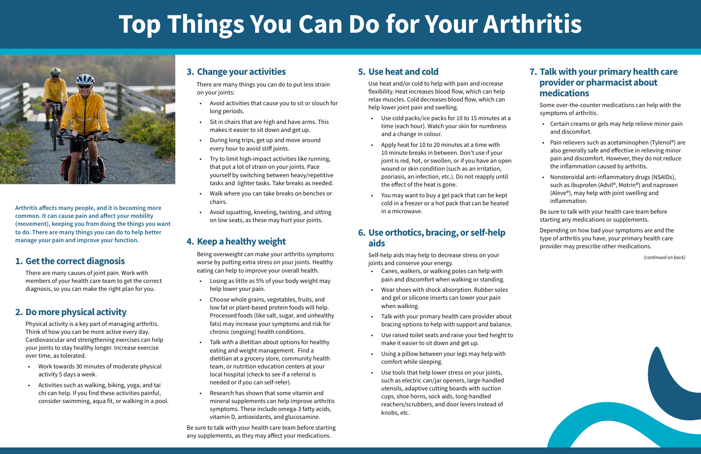**Arthritis affects many people, and it is becoming more common. It can cause pain and affect your mobility (movement), keeping you from doing the things you want to do. There are many things you can do to help better manage your pain and improve your function.**

#### **1. Get the correct diagnosis**

There are many causes of joint pain. Work with members of your health care team to get the correct diagnosis, so you can make the right plan for you.

# **2. Do more physical activity**

Physical activity is a key part of managing arthritis. Think of how you can be more active every day. Cardiovascular and strengthening exercises can help your joints to stay healthy longer. Increase exercise over time, as tolerated.

- Work towards 30 minutes of moderate physical activity 5 days a week.
- Activities such as walking, biking, yoga, and tai chi can help. If you find these activities painful, consider swimming, aqua fit, or walking in a pool.

#### **3. Change your activities**

There are many things you can do to put less strain on your joints:

- Avoid activities that cause you to sit or slouch for long periods.
- Sit in chairs that are high and have arms. This makes it easier to sit down and get up.
- During long trips, get up and move around every hour to avoid stiff joints.
- Try to limit high-impact activities like running, that put a lot of strain on your joints. Pace yourself by switching between heavy/repetitive tasks and lighter tasks. Take breaks as needed.
- Walk where you can take breaks on benches or chairs.
- Avoid squatting, kneeling, twisting, and sitting on low seats, as these may hurt your joints.

# **4. Keep a healthy weight**

Being overweight can make your arthritis symptoms worse by putting extra stress on your joints. Healthy eating can help to improve your overall health.

- Losing as little as 5% of your body weight may help lower your pain.
- Choose whole grains, vegetables, fruits, and low fat or plant-based protein foods will help. Processed foods (like salt, sugar, and unhealthy fats) may increase your symptoms and risk for chronic (ongoing) health conditions.
- Talk with a dietitian about options for healthy eating and weight management. Find a dietitian at a grocery store, community health team, or nutrition education centers at your local hospital (check to see if a referral is needed or if you can self-refer).
- Research has shown that some vitamin and mineral supplements can help improve arthritis symptoms. These include omega-3 fatty acids, vitamin D, antioxidants, and glucosamine.

Be sure to talk with your health care team before starting any supplements, as they may affect your medications.

# **5. Use heat and cold**

Use heat and/or cold to help with pain and increase flexibility. Heat increases blood flow, which can help relax muscles. Cold decreases blood flow, which can help lower joint pain and swelling.

- Use cold packs/ice packs for 10 to 15 minutes at a time (each hour). Watch your skin for numbness and a change in colour.
- Apply heat for 10 to 20 minutes at a time with 10 minute breaks in between. Don't use if your joint is red, hot, or swollen, or if you have an open wound or skin condition (such as an irritation, psoriasis, an infection, etc.). Do not reapply until the effect of the heat is gone.
- You may want to buy a gel pack that can be kept cold in a freezer or a hot pack that can be heated in a microwave.

#### **6. Use orthotics, bracing, or self-help aids**

Self-help aids may help to decrease stress on your joints and conserve your energy.

- Canes, walkers, or walking poles can help with pain and discomfort when walking or standing.
- Wear shoes with shock absorption. Rubber soles and gel or silicone inserts can lower your pain when walking.
- Talk with your primary health care provider about bracing options to help with support and balance.
- Use raised toilet seats and raise your bed height to make it easier to sit down and get up.
- Using a pillow between your legs may help with comfort while sleeping.
- Use tools that help lower stress on your joints, such as electric can/jar openers, large-handled utensils, adaptive cutting boards with suction cups, shoe horns, sock aids, long-handled reachers/scrubbers, and door levers instead of knobs, etc.

# **7. Talk with your primary health care provider or pharmacist about medications**

 Some over-the-counter medications can help with the symptoms of arthritis.

- Certain creams or gels may help relieve minor pain and discomfort.
- Pain relievers such as acetaminophen (Tylenol®) are also generally safe and effective in relieving minor pain and discomfort. However, they do not reduce the inflammation caused by arthritis.
- Nonsteroidal anti-inflammatory drugs (NSAIDs), such as ibuprofen (Advil®, Motrin®) and naproxen (Aleve®), may help with joint swelling and inflammation.

Be sure to talk with your health care team before starting any medications or supplements.

Depending on how bad your symptoms are and the type of arthritis you have, your primary health care provider may prescribe other medications.

*(continued on back)*

# **Top Things You Can Do for Your Arthritis**